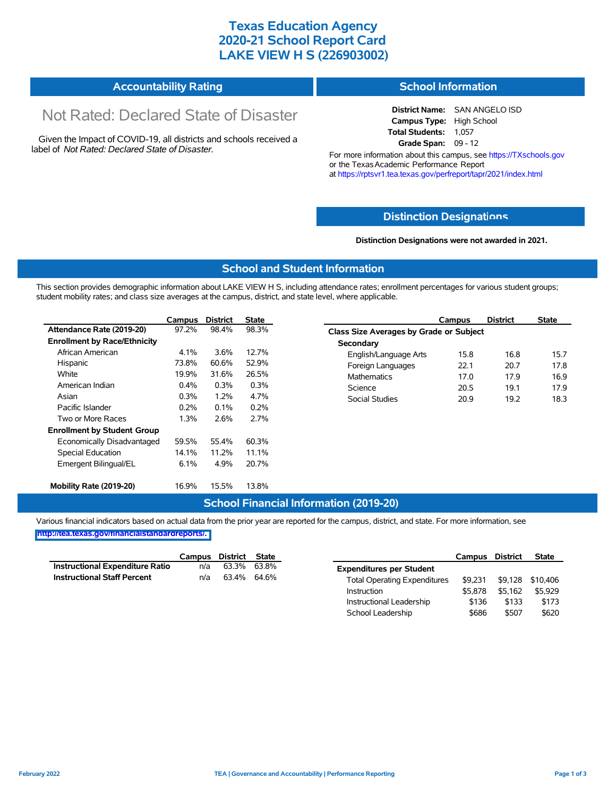## **Texas Education Agency 2020-21 School Report Card LAKE VIEW H S (226903002)**

#### **Accountability Rating School Information**

# Not Rated: Declared State of Disaster

Given the Impact of COVID-19, all districts and schools received a label of *Not Rated: Declared State of Disaster.*

#### **District Name:** SAN ANGELO ISD **Campus Type:** High School **Total Students:** 1,057 **Grade Span:** 09 - 12

For more information about this campus, see https://TXschools.gov or the Texas Academic Performance Report at https://rptsvr1.tea.texas.gov/perfreport/tapr/2021/index.html

#### **Distinction Designat[ions](https://TXschools.gov)**

**Distinction Designations were not awarded in 2021.**

School Leadership  $$686$  \$507 \$620

#### **School and Student Information**

This section provides demographic information about LAKE VIEW H S, including attendance rates; enrollment percentages for various student groups; student mobility rates; and class size averages at the campus, district, and state level, where applicable.

|                                     | Campus  | <b>District</b> | <b>State</b> | Campus                        | <b>District</b>                         | <b>State</b> |  |  |  |  |
|-------------------------------------|---------|-----------------|--------------|-------------------------------|-----------------------------------------|--------------|--|--|--|--|
| Attendance Rate (2019-20)           | 97.2%   | 98.4%           | 98.3%        |                               | Class Size Averages by Grade or Subject |              |  |  |  |  |
| <b>Enrollment by Race/Ethnicity</b> |         |                 |              | Secondary                     |                                         |              |  |  |  |  |
| African American                    | 4.1%    | 3.6%            | 12.7%        | 15.8<br>English/Language Arts | 16.8                                    |              |  |  |  |  |
| Hispanic                            | 73.8%   | 60.6%           | 52.9%        | Foreign Languages<br>22.1     | 20.7                                    |              |  |  |  |  |
| White                               | 19.9%   | 31.6%           | 26.5%        | <b>Mathematics</b><br>17.0    | 17.9                                    |              |  |  |  |  |
| American Indian                     | $0.4\%$ | 0.3%            | 0.3%         | Science<br>20.5               | 19.1                                    |              |  |  |  |  |
| Asian                               | 0.3%    | $1.2\%$         | 4.7%         | Social Studies<br>20.9        | 19.2                                    |              |  |  |  |  |
| Pacific Islander                    | 0.2%    | 0.1%            | 0.2%         |                               |                                         |              |  |  |  |  |
| Two or More Races                   | 1.3%    | 2.6%            | 2.7%         |                               |                                         |              |  |  |  |  |
| <b>Enrollment by Student Group</b>  |         |                 |              |                               |                                         |              |  |  |  |  |
| Economically Disadvantaged          | 59.5%   | 55.4%           | 60.3%        |                               |                                         |              |  |  |  |  |
| Special Education                   | 14.1%   | 11.2%           | 11.1%        |                               |                                         |              |  |  |  |  |
| Emergent Bilingual/EL               | 6.1%    | 4.9%            | 20.7%        |                               |                                         |              |  |  |  |  |
| Mobility Rate (2019-20)             | 16.9%   | 15.5%           | 13.8%        |                               |                                         |              |  |  |  |  |

#### **School Financial Information (2019-20)**

Various financial indicators based on actual data from the prior year are reported for the campus, district, and state. For more information, see

**[http://tea.texas.gov/financialstandardreports/.](http://tea.texas.gov/financialstandardreports/)**

|                                        | Campus | District | State |                                     | Campus  | <b>District</b> | <b>State</b>     |
|----------------------------------------|--------|----------|-------|-------------------------------------|---------|-----------------|------------------|
| <b>Instructional Expenditure Ratio</b> | n/a    | 63.3%    | 63.8% | <b>Expenditures per Student</b>     |         |                 |                  |
| <b>Instructional Staff Percent</b>     | n/a    | 63.4%    | 64.6% | <b>Total Operating Expenditures</b> | \$9.231 |                 | \$9,128 \$10,406 |
|                                        |        |          |       | Instruction                         | \$5.878 | \$5.162         | \$5.929          |
|                                        |        |          |       | Instructional Leadership            | \$136   | \$133           | \$173            |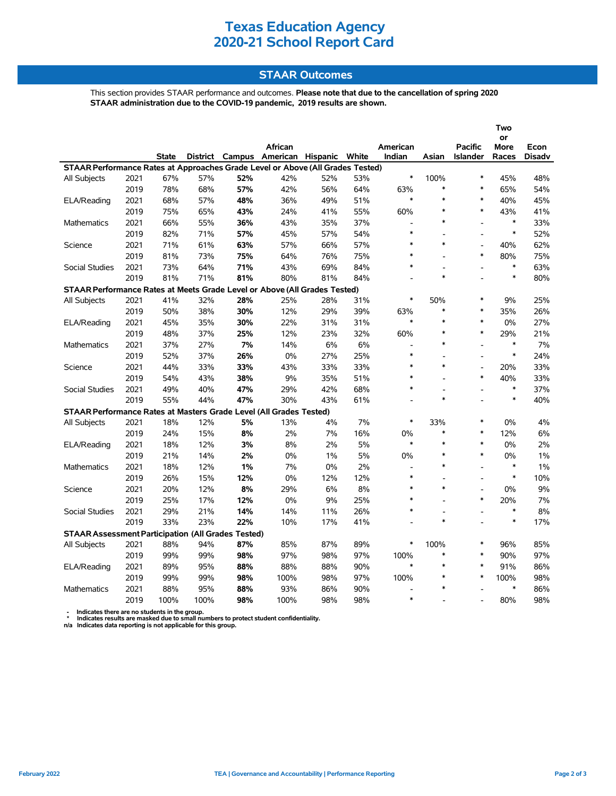# **Texas Education Agency 2020-21 School Report Card**

### **STAAR Outcomes**

This section provides STAAR performance and outcomes. **Please note that due to the cancellation of spring 2020 STAAR administration due to the COVID-19 pandemic, 2019 results are shown.**

|                                                                                |      |              |      |     |                                         |     |     |                          |                          | Two             |                   |               |
|--------------------------------------------------------------------------------|------|--------------|------|-----|-----------------------------------------|-----|-----|--------------------------|--------------------------|-----------------|-------------------|---------------|
|                                                                                |      |              |      |     | African                                 |     |     | American                 |                          | <b>Pacific</b>  | or<br><b>More</b> | Econ          |
|                                                                                |      | <b>State</b> |      |     | District Campus American Hispanic White |     |     | Indian                   | Asian                    | <b>Islander</b> | Races             | <b>Disadv</b> |
| STAAR Performance Rates at Approaches Grade Level or Above (All Grades Tested) |      |              |      |     |                                         |     |     |                          |                          |                 |                   |               |
| All Subjects                                                                   | 2021 | 67%          | 57%  | 52% | 42%                                     | 52% | 53% | $\ast$                   | 100%                     | $\ast$          | 45%               | 48%           |
|                                                                                | 2019 | 78%          | 68%  | 57% | 42%                                     | 56% | 64% | 63%                      | $\ast$                   | $\ast$          | 65%               | 54%           |
| ELA/Reading                                                                    | 2021 | 68%          | 57%  | 48% | 36%                                     | 49% | 51% | $\ast$                   | $\ast$                   | $\ast$          | 40%               | 45%           |
|                                                                                | 2019 | 75%          | 65%  | 43% | 24%                                     | 41% | 55% | 60%                      | $\ast$                   | $\ast$          | 43%               | 41%           |
| <b>Mathematics</b>                                                             | 2021 | 66%          | 55%  | 36% | 43%                                     | 35% | 37% |                          | $\ast$                   | $\overline{a}$  | $\ast$            | 33%           |
|                                                                                | 2019 | 82%          | 71%  | 57% | 45%                                     | 57% | 54% | $\ast$                   | $\overline{\phantom{a}}$ | $\overline{a}$  | $\ast$            | 52%           |
| Science                                                                        | 2021 | 71%          | 61%  | 63% | 57%                                     | 66% | 57% | $\ast$                   | $\ast$                   | $\overline{a}$  | 40%               | 62%           |
|                                                                                | 2019 | 81%          | 73%  | 75% | 64%                                     | 76% | 75% | $\ast$                   |                          | $\ast$          | 80%               | 75%           |
| <b>Social Studies</b>                                                          | 2021 | 73%          | 64%  | 71% | 43%                                     | 69% | 84% | $\ast$                   |                          | L,              | $\ast$            | 63%           |
|                                                                                | 2019 | 81%          | 71%  | 81% | 80%                                     | 81% | 84% | $\overline{a}$           | $\ast$                   | $\overline{a}$  | $\ast$            | 80%           |
| STAAR Performance Rates at Meets Grade Level or Above (All Grades Tested)      |      |              |      |     |                                         |     |     |                          |                          |                 |                   |               |
| All Subjects                                                                   | 2021 | 41%          | 32%  | 28% | 25%                                     | 28% | 31% | $\ast$                   | 50%                      | $\ast$          | 9%                | 25%           |
|                                                                                | 2019 | 50%          | 38%  | 30% | 12%                                     | 29% | 39% | 63%                      | $\ast$                   | $\ast$          | 35%               | 26%           |
| ELA/Reading                                                                    | 2021 | 45%          | 35%  | 30% | 22%                                     | 31% | 31% | $\ast$                   | $\ast$                   | $\ast$          | 0%                | 27%           |
|                                                                                | 2019 | 48%          | 37%  | 25% | 12%                                     | 23% | 32% | 60%                      | $\ast$                   | $\ast$          | 29%               | 21%           |
| <b>Mathematics</b>                                                             | 2021 | 37%          | 27%  | 7%  | 14%                                     | 6%  | 6%  | L,                       | $\ast$                   | $\overline{a}$  | $\ast$            | 7%            |
|                                                                                | 2019 | 52%          | 37%  | 26% | 0%                                      | 27% | 25% | $\ast$                   |                          | $\overline{a}$  | $\ast$            | 24%           |
| Science                                                                        | 2021 | 44%          | 33%  | 33% | 43%                                     | 33% | 33% | $\ast$                   | $\ast$                   | $\overline{a}$  | 20%               | 33%           |
|                                                                                | 2019 | 54%          | 43%  | 38% | 9%                                      | 35% | 51% | $\ast$                   |                          | $\ast$          | 40%               | 33%           |
| <b>Social Studies</b>                                                          | 2021 | 49%          | 40%  | 47% | 29%                                     | 42% | 68% | $\ast$                   | $\overline{\phantom{a}}$ | $\blacksquare$  | $\ast$            | 37%           |
|                                                                                | 2019 | 55%          | 44%  | 47% | 30%                                     | 43% | 61% |                          | $\ast$                   |                 | $\ast$            | 40%           |
| STAAR Performance Rates at Masters Grade Level (All Grades Tested)             |      |              |      |     |                                         |     |     |                          |                          |                 |                   |               |
| All Subjects                                                                   | 2021 | 18%          | 12%  | 5%  | 13%                                     | 4%  | 7%  | $\ast$                   | 33%                      | $\ast$          | 0%                | 4%            |
|                                                                                | 2019 | 24%          | 15%  | 8%  | 2%                                      | 7%  | 16% | 0%                       | $\ast$                   | $\ast$          | 12%               | 6%            |
| ELA/Reading                                                                    | 2021 | 18%          | 12%  | 3%  | 8%                                      | 2%  | 5%  | $\ast$                   | $\ast$                   | $\ast$          | 0%                | 2%            |
|                                                                                | 2019 | 21%          | 14%  | 2%  | 0%                                      | 1%  | 5%  | 0%                       | $\ast$                   | $\ast$          | 0%                | 1%            |
| <b>Mathematics</b>                                                             | 2021 | 18%          | 12%  | 1%  | 7%                                      | 0%  | 2%  | L,                       | $\ast$                   | $\overline{a}$  | $\ast$            | 1%            |
|                                                                                | 2019 | 26%          | 15%  | 12% | 0%                                      | 12% | 12% | $\ast$                   |                          |                 | $\ast$            | 10%           |
| Science                                                                        | 2021 | 20%          | 12%  | 8%  | 29%                                     | 6%  | 8%  | $\ast$                   | $\ast$                   |                 | 0%                | 9%            |
|                                                                                | 2019 | 25%          | 17%  | 12% | 0%                                      | 9%  | 25% | $\ast$                   | $\overline{a}$           | $\ast$          | 20%               | 7%            |
| <b>Social Studies</b>                                                          | 2021 | 29%          | 21%  | 14% | 14%                                     | 11% | 26% | $\ast$                   |                          | $\overline{a}$  | $\ast$            | 8%            |
|                                                                                | 2019 | 33%          | 23%  | 22% | 10%                                     | 17% | 41% |                          | $\ast$                   | $\overline{a}$  | $\ast$            | 17%           |
| <b>STAAR Assessment Participation (All Grades Tested)</b>                      |      |              |      |     |                                         |     |     |                          |                          |                 |                   |               |
| All Subjects                                                                   | 2021 | 88%          | 94%  | 87% | 85%                                     | 87% | 89% | $\ast$                   | 100%                     | $\ast$          | 96%               | 85%           |
|                                                                                | 2019 | 99%          | 99%  | 98% | 97%                                     | 98% | 97% | 100%                     | $\ast$                   | $\ast$          | 90%               | 97%           |
| ELA/Reading                                                                    | 2021 | 89%          | 95%  | 88% | 88%                                     | 88% | 90% | $\ast$                   | $\ast$                   | $\ast$          | 91%               | 86%           |
|                                                                                | 2019 | 99%          | 99%  | 98% | 100%                                    | 98% | 97% | 100%                     | $\ast$                   | $\ast$          | 100%              | 98%           |
| <b>Mathematics</b>                                                             | 2021 | 88%          | 95%  | 88% | 93%                                     | 86% | 90% | $\overline{\phantom{a}}$ | $\ast$                   |                 | $\ast$            | 86%           |
|                                                                                | 2019 | 100%         | 100% | 98% | 100%                                    | 98% | 98% | $\ast$                   |                          |                 | 80%               | 98%           |

 **- Indicates there are no students in the group. \* Indicates results are masked due to small numbers to protect student confidentiality.**

**n/a Indicates data reporting is not applicable for this group.**